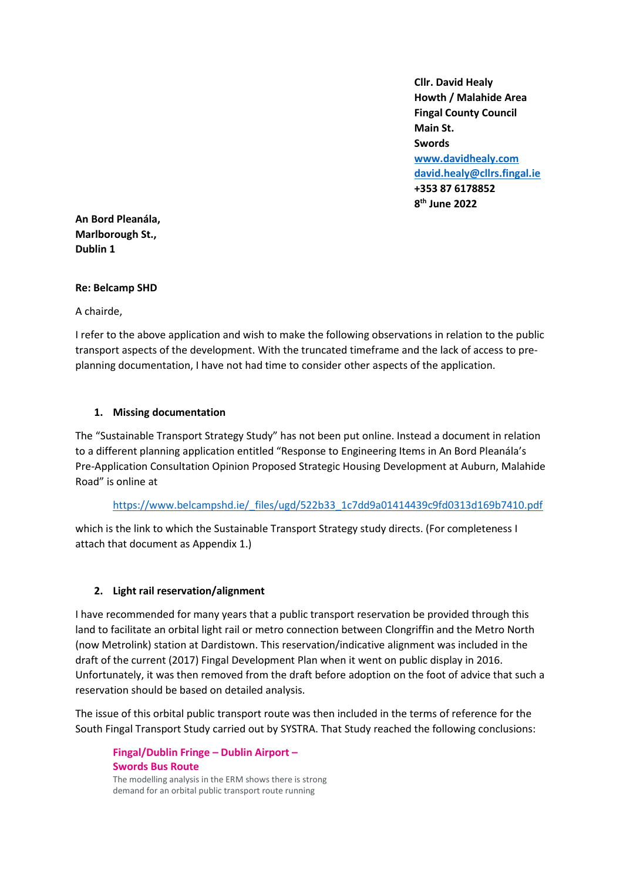**Cllr. David Healy Howth / Malahide Area Fingal County Council Main St. Swords [www.davidhealy.com](http://www.davidhealy.com/) [david.healy@cllrs.fingal.ie](mailto:david.healy@cllrs.fingal.ie) +353 87 6178852 8 th June 2022**

**An Bord Pleanála, Marlborough St., Dublin 1**

## **Re: Belcamp SHD**

A chairde,

I refer to the above application and wish to make the following observations in relation to the public transport aspects of the development. With the truncated timeframe and the lack of access to preplanning documentation, I have not had time to consider other aspects of the application.

### **1. Missing documentation**

The "Sustainable Transport Strategy Study" has not been put online. Instead a document in relation to a different planning application entitled "Response to Engineering Items in An Bord Pleanála's Pre-Application Consultation Opinion Proposed Strategic Housing Development at Auburn, Malahide Road" is online at

#### [https://www.belcampshd.ie/\\_files/ugd/522b33\\_1c7dd9a01414439c9fd0313d169b7410.pdf](https://www.belcampshd.ie/_files/ugd/522b33_1c7dd9a01414439c9fd0313d169b7410.pdf)

which is the link to which the Sustainable Transport Strategy study directs. (For completeness I attach that document as Appendix 1.)

# **2. Light rail reservation/alignment**

I have recommended for many years that a public transport reservation be provided through this land to facilitate an orbital light rail or metro connection between Clongriffin and the Metro North (now Metrolink) station at Dardistown. This reservation/indicative alignment was included in the draft of the current (2017) Fingal Development Plan when it went on public display in 2016. Unfortunately, it was then removed from the draft before adoption on the foot of advice that such a reservation should be based on detailed analysis.

The issue of this orbital public transport route was then included in the terms of reference for the South Fingal Transport Study carried out by SYSTRA. That Study reached the following conclusions:

**Fingal/Dublin Fringe – Dublin Airport – Swords Bus Route** The modelling analysis in the ERM shows there is strong demand for an orbital public transport route running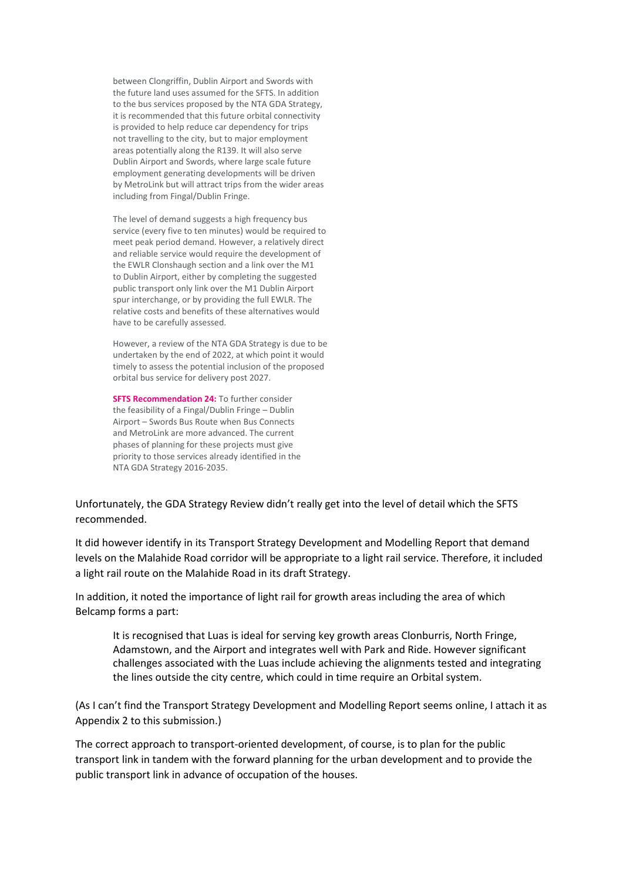between Clongriffin, Dublin Airport and Swords with the future land uses assumed for the SFTS. In addition to the bus services proposed by the NTA GDA Strategy, it is recommended that this future orbital connectivity is provided to help reduce car dependency for trips not travelling to the city, but to major employment areas potentially along the R139. It will also serve Dublin Airport and Swords, where large scale future employment generating developments will be driven by MetroLink but will attract trips from the wider areas including from Fingal/Dublin Fringe.

The level of demand suggests a high frequency bus service (every five to ten minutes) would be required to meet peak period demand. However, a relatively direct and reliable service would require the development of the EWLR Clonshaugh section and a link over the M1 to Dublin Airport, either by completing the suggested public transport only link over the M1 Dublin Airport spur interchange, or by providing the full EWLR. The relative costs and benefits of these alternatives would have to be carefully assessed.

However, a review of the NTA GDA Strategy is due to be undertaken by the end of 2022, at which point it would timely to assess the potential inclusion of the proposed orbital bus service for delivery post 2027.

**SFTS Recommendation 24: To further consider** the feasibility of a Fingal/Dublin Fringe – Dublin Airport – Swords Bus Route when Bus Connects and MetroLink are more advanced. The current phases of planning for these projects must give priority to those services already identified in the NTA GDA Strategy 2016-2035.

Unfortunately, the GDA Strategy Review didn't really get into the level of detail which the SFTS recommended.

It did however identify in its Transport Strategy Development and Modelling Report that demand levels on the Malahide Road corridor will be appropriate to a light rail service. Therefore, it included a light rail route on the Malahide Road in its draft Strategy.

In addition, it noted the importance of light rail for growth areas including the area of which Belcamp forms a part:

It is recognised that Luas is ideal for serving key growth areas Clonburris, North Fringe, Adamstown, and the Airport and integrates well with Park and Ride. However significant challenges associated with the Luas include achieving the alignments tested and integrating the lines outside the city centre, which could in time require an Orbital system.

(As I can't find the Transport Strategy Development and Modelling Report seems online, I attach it as Appendix 2 to this submission.)

The correct approach to transport-oriented development, of course, is to plan for the public transport link in tandem with the forward planning for the urban development and to provide the public transport link in advance of occupation of the houses.